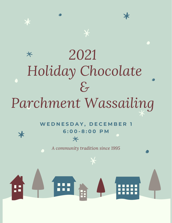